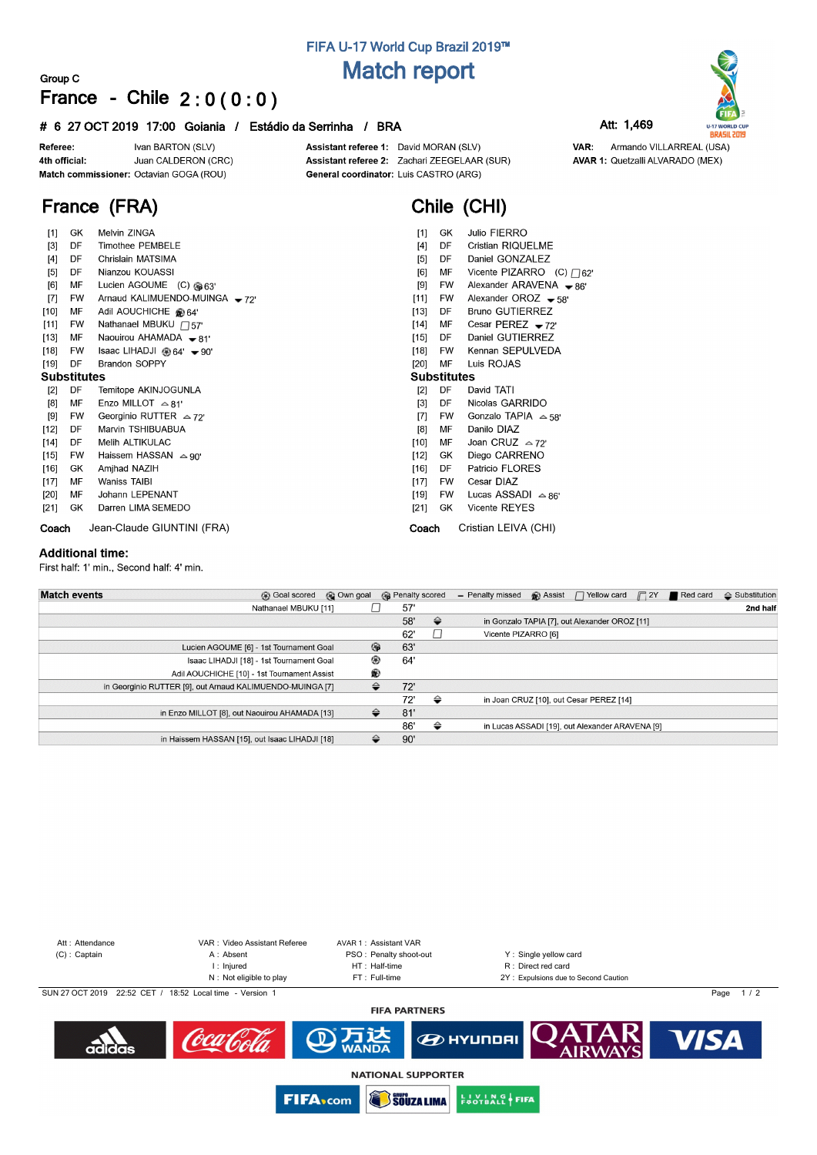# **FIFA U-17 World Cup Brazil 2019™ Match report**

## **Group C France - Chile 2 : 0 ( 0 : 0 )**

## **# 6 27 OCT 2019 17:00 Goiania / Estádio da Serrinha / BRA Att: 1,469**

Ivan BARTON (SLV) Referee: Juan CALDERON (CRC) 4th official: Match commissioner: Octavian GOGA (ROU)

Assistant referee 1: David MORAN (SLV) Assistant referee 2: Zachari ZEEGELAAR (SUR) General coordinator: Luis CASTRO (ARG)

**Chile (CHI)**

VAR: Armando VILLARREAL (USA) **AVAR 1: Quetzalli ALVARADO (MEX)** 

**U-17 WORLD CUP**<br>**BRASIL 2019** 

# **France (FRA)**

| [1]               | GK                 | Melvin ZINGA                         | [1]               | GK        | Julio FIERRO                      |  |  |  |  |  |  |
|-------------------|--------------------|--------------------------------------|-------------------|-----------|-----------------------------------|--|--|--|--|--|--|
| $\lceil 3 \rceil$ | DF                 | <b>Timothee PEMBELE</b>              | $[4]$             | DF        | <b>Cristian RIQUELME</b>          |  |  |  |  |  |  |
| [4]               | DF                 | Chrislain MATSIMA                    | [5]               | DF        | Daniel GONZALEZ                   |  |  |  |  |  |  |
| [5]               | DF                 | Nianzou KOUASSI                      | [6]               | MF        | Vicente PIZARRO (C) $\bigcap 62'$ |  |  |  |  |  |  |
| [6]               | MF                 | Lucien AGOUME (C) @63'               | $[9]$             | FW        | Alexander ARAVENA $\bullet$ 86'   |  |  |  |  |  |  |
| $[7]$             | <b>FW</b>          | Arnaud KALIMUENDO-MUINGA -72         | [11]              | <b>FW</b> | Alexander OROZ $-58'$             |  |  |  |  |  |  |
| $[10]$            | MF                 | Adil AOUCHICHE @ 64'                 | [13]              | DF        | <b>Bruno GUTIERREZ</b>            |  |  |  |  |  |  |
| $[11]$            | FW                 | Nathanael MBUKU $\Box$ 57'           | $[14]$            | MF        | Cesar PEREZ $-72'$                |  |  |  |  |  |  |
| $[13]$            | МF                 | Naouirou AHAMADA $\bullet$ 81'       | $[15]$            | DF        | Daniel GUTIERREZ                  |  |  |  |  |  |  |
| $[18]$            | <b>FW</b>          | Isaac LIHADJI @ 64' <del>v</del> 90' | $[18]$            | <b>FW</b> | Kennan SEPULVEDA                  |  |  |  |  |  |  |
| $[19]$            | DF                 | <b>Brandon SOPPY</b>                 | $[20]$            | MF        | Luis ROJAS                        |  |  |  |  |  |  |
|                   | <b>Substitutes</b> |                                      |                   |           | <b>Substitutes</b>                |  |  |  |  |  |  |
| $[2]$             | DF                 | Temitope AKINJOGUNLA                 | $\lceil 2 \rceil$ | DF        | David TATI                        |  |  |  |  |  |  |
| [8]               | МF                 | Enzo MILLOT $\approx$ 81'            | $[3]$             | DF        | Nicolas GARRIDO                   |  |  |  |  |  |  |
| $[9]$             | <b>FW</b>          | Georginio RUTTER $\approx$ 72'       | $[7]$             | <b>FW</b> | Gonzalo TAPIA $\approx$ 58'       |  |  |  |  |  |  |
| [12]              | DF                 | Marvin TSHIBUABUA                    | [8]               | MF        | Danilo DIAZ                       |  |  |  |  |  |  |
| $[14]$            | DF                 | Melih ALTIKULAC                      | [10]              | MF        | Joan CRUZ $\approx$ 72'           |  |  |  |  |  |  |
| $[15]$            | FW                 | Haissem HASSAN $\approx$ 90'         | $[12]$            | GK        | Diego CARRENO                     |  |  |  |  |  |  |
| $[16]$            | GK                 | Amjhad NAZIH                         | $[16]$            | DF        | Patricio FLORES                   |  |  |  |  |  |  |
| $[17]$            | MF                 | <b>Waniss TAIBI</b>                  | $[17]$            | <b>FW</b> | Cesar DIAZ                        |  |  |  |  |  |  |
| $[20]$            | МF                 | Johann LEPENANT                      | [19]              | <b>FW</b> | Lucas ASSADI $\approx$ 86'        |  |  |  |  |  |  |
| $[21]$            | GK.                | Darren LIMA SEMEDO                   | $[21]$            | GK        | <b>Vicente REYES</b>              |  |  |  |  |  |  |
| Coach             |                    | Jean-Claude GIUNTINI (FRA)           | Coach             |           | Cristian LEIVA (CHI)              |  |  |  |  |  |  |

### **Additional time:**

First half: 1' min., Second half: 4' min.

| <b>Match events</b><br><b>B</b> Goal scored               | © Own goal | <b>B</b> Penalty scored |               | - Penalty missed    | <sup>2</sup> Assist | $\Box$ Yellow card                              | $\Box$ 2Y | Red card | $\triangle$ Substitution |
|-----------------------------------------------------------|------------|-------------------------|---------------|---------------------|---------------------|-------------------------------------------------|-----------|----------|--------------------------|
| Nathanael MBUKU [11]                                      |            | 57'                     |               |                     |                     |                                                 |           |          | 2nd half                 |
|                                                           |            | 58'                     | $\Rightarrow$ |                     |                     | in Gonzalo TAPIA [7], out Alexander OROZ [11]   |           |          |                          |
|                                                           |            | 62'                     |               | Vicente PIZARRO [6] |                     |                                                 |           |          |                          |
| Lucien AGOUME [6] - 1st Tournament Goal                   | 6          | 63'                     |               |                     |                     |                                                 |           |          |                          |
| Isaac LIHADJI [18] - 1st Tournament Goal                  | ⊛          | 64'                     |               |                     |                     |                                                 |           |          |                          |
| Adil AOUCHICHE [10] - 1st Tournament Assist               | ⊛          |                         |               |                     |                     |                                                 |           |          |                          |
| in Georginio RUTTER [9], out Arnaud KALIMUENDO-MUINGA [7] | ≙          | 72'                     |               |                     |                     |                                                 |           |          |                          |
|                                                           |            | 72'                     | ⇔             |                     |                     | in Joan CRUZ [10], out Cesar PEREZ [14]         |           |          |                          |
| in Enzo MILLOT [8], out Naouirou AHAMADA [13]             | ⇔          | 81'                     |               |                     |                     |                                                 |           |          |                          |
|                                                           |            | 86'                     | ⇔             |                     |                     | in Lucas ASSADI [19], out Alexander ARAVENA [9] |           |          |                          |
| in Haissem HASSAN [15], out Isaac LIHADJI [18]            | ≙          | 90'                     |               |                     |                     |                                                 |           |          |                          |